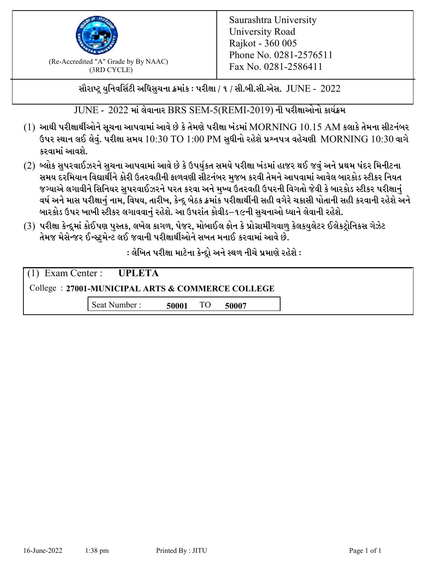

 $F_{\text{R}}$  (Re-Accredited "A" Grade by By NAAC)<br>(3PD CVCLE)<br> $F_{\text{R}}$  No. 0281-2586411 (3RD CYCLE)

સૌરાષ્ટ્ર યુનિવર્સિટી અધિસુચના ક્રમાંક : પરીક્ષા / ૧ / સી.બી.સી.એસ.  $\,$  JUNE -  $\,2022$ 

 $JUNE - 2022$  માં લેવાનાર BRS SEM-5(REMI-2019) ની પરીક્ષાઓનો કાર્યક્રમ

- $(1)$  આથી પરીક્ષાર્થીઓને સૂચના આપવામાં આવે છે કે તેમણે પરીક્ષા ખંડમાં  $\operatorname{MORNING}$   $10.15$   $\operatorname{AM}$  કલાકે તેમના સીટનંબર ઉપર સ્થાન લઈ લેવું. પરીક્ષા સમય  $10:30 \text{ TO } 1:00 \text{ PM}$  સુધીનો રહેશે પ્રશ્નપત્ર વહેચણી  $\text{MORNING } 10:30$  વાગે કરવામાં આવશે.
- (2) બ્લોક સુપરવાઈઝરને સુચના આપવામાં આવે છે કે ઉપર્યુકત સમયે પરીક્ષા ખંડમાં હાજર થઈ જવું અને પ્રથમ પંદર મિનીટના સમય દરમિયાન વિદ્યાર્થીને કોરી ઉતરવહીની ફાળવણી સીટનંબર મજબ કરવી તેમને આપવામાં આવેલ બારકોડ સ્ટીકર નિયત જગ્યાએ લગાવીને સિનિયર સુપરવાઈઝરને પરત કરવા અને મુખ્ય ઉતરવહી ઉપરની વિગતો જેવી કે બારકોડ સ્ટીકર પરીક્ષ<u>ાન</u>ં વર્ષ અને માસ પરીક્ષાનું નામ, વિષય, તારીખ, કેન્દ્ર બેઠક ક્રમાંક પરીક્ષાર્થીની સહી વગેરે ચકાસી પોતાની સહી કરવાની રહેશે અને બારકોડ ઉપર ખાખી સ્ટીકર લગાવવાનં રહેશે. આ ઉપરાંત કોવીડ–૧૯ની સચનાઓ ધ્યાને લેવાની રહેશે.
- (3) પરીક્ષા કેન્દ્રમાં કોઈપણ પુસ્તક, લખેલ કાગળ, પેજર, મોબાઈલ ફોન કે પ્રોગ્રામીંગવાળુ કેલકયુલેટર ઈલેકટ્રોનિકસ ગેઝેટ તેમજ મેસેન્જર ઈન્સ્ટમેન્ટ લઈ જવાની પરીક્ષાર્થીઓને સખત મનાઈ કરવામાં આવે છે.

: લેખિત પરીક્ષા માટેના કેન્દ્દો અને સ્થળ નીચે પ્રમાણે રહેશે :

|                                                  | $(1)$ Exam Center : UPLETA |       |    |       |
|--------------------------------------------------|----------------------------|-------|----|-------|
| College: 27001-MUNICIPAL ARTS & COMMERCE COLLEGE |                            |       |    |       |
|                                                  | Seat Number:               | 50001 | TO | 50007 |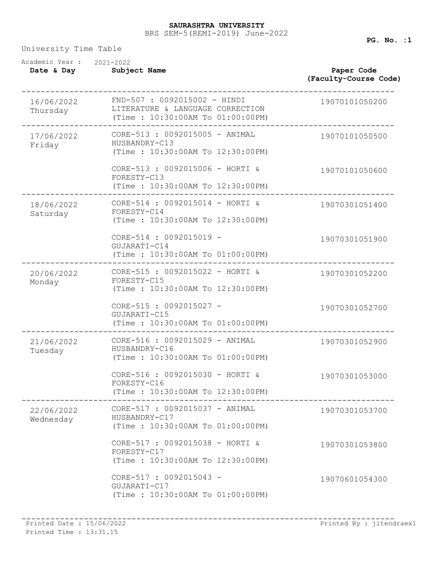## BRS SEM-5(REMI-2019) June-2022 **SAURASHTRA UNIVERSITY**

University Time Table

| Academic Year :<br>Date & Day | 2021-2022<br>Subject Name                                                                            | Paper Code<br>(Faculty-Course Code) |
|-------------------------------|------------------------------------------------------------------------------------------------------|-------------------------------------|
| 16/06/2022<br>Thursday        | FND-507 : 0092015002 - HINDI<br>LITERATURE & LANGUAGE CORRECTION<br>(Time: 10:30:00AM To 01:00:00PM) | 19070101050200                      |
| 17/06/2022<br>Friday          | CORE-513 : 0092015005 - ANIMAL<br>HUSBANDRY-C13<br>(Time: 10:30:00AM To 12:30:00PM)                  | 19070101050500                      |
|                               | CORE-513 : 0092015006 - HORTI &<br>FORESTY-C13<br>(Time: 10:30:00AM To 12:30:00PM)                   | 19070101050600                      |
| 18/06/2022<br>Saturday        | CORE-514 : 0092015014 - HORTI &<br>FORESTY-C14<br>(Time: 10:30:00AM To 12:30:00PM)                   | 19070301051400                      |
|                               | CORE-514 : 0092015019 -<br>GUJARATI-C14<br>(Time : 10:30:00AM To 01:00:00PM)                         | 19070301051900                      |
| 20/06/2022<br>Monday          | CORE-515 : 0092015022 - HORTI &<br>FORESTY-C15<br>(Time: 10:30:00AM To 12:30:00PM)                   | 19070301052200                      |
|                               | CORE-515 : 0092015027 -<br>GUJARATI-C15<br>(Time: 10:30:00AM To 01:00:00PM)                          | 19070301052700                      |
| 21/06/2022<br>Tuesday         | CORE-516 : 0092015029 - ANIMAL<br>HUSBANDRY-C16<br>(Time: 10:30:00AM To 01:00:00PM)                  | 19070301052900                      |
|                               | CORE-516 : 0092015030 - HORTI &<br>FORESTY-C16<br>(Time: 10:30:00AM To 12:30:00PM)                   | 19070301053000                      |
| 22/06/2022<br>Wednesday       | CORE-517 : 0092015037 - ANIMAL<br>HUSBANDRY-C17<br>(Time: 10:30:00AM To 01:00:00PM)                  | 19070301053700                      |
|                               | CORE-517 : 0092015038 - HORTI &<br>FORESTY-C17<br>(Time: 10:30:00AM To 12:30:00PM)                   | 19070301053800                      |
|                               | CORE-517 : 0092015043 -<br>GUJARATI-C17<br>(Time: 10:30:00AM To 01:00:00PM)                          | 19070601054300                      |

**PG. No. :1**